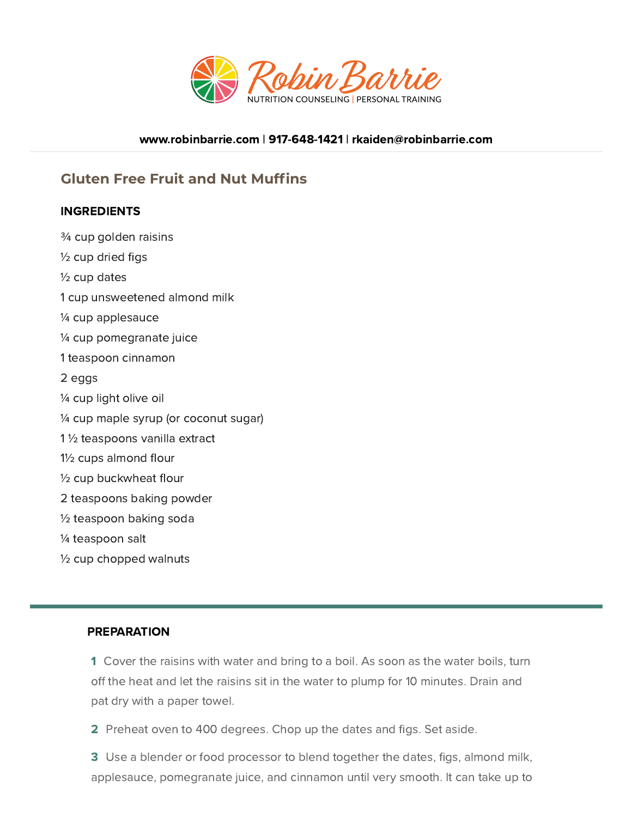

#### [www.robinbarrie.com](https://www.robinbarrie.com/) | [917-648-1421](tel:9176481421) | [rkaiden@robinbarrie.com](mail:rkaiden@robinbarrie.coms)

# **Gluten Free Fruit and Nut Muffins**

## INGREDIENTS

¾ cup golden raisins  $\frac{1}{2}$  cup dried figs ½ cup dates 1 cup unsweetened almond milk ¼ cup applesauce ¼ cup pomegranate juice 1 teaspoon cinnamon 2 eggs ¼ cup light olive oil ¼ cup maple syrup (or coconut sugar) 1 ½ teaspoons vanilla extract  $1\frac{1}{2}$  cups almond flour  $\frac{1}{2}$  cup buckwheat flour 2 teaspoons baking powder ½ teaspoon baking soda ¼ teaspoon salt ½ cup chopped walnuts

## PREPARATION

1 Cover the raisins with water and bring to a boil. As soon as the water boils, turn off the heat and let the raisins sit in the water to plump for 10 minutes. Drain and pat dry with a paper towel.

2 Preheat oven to 400 degrees. Chop up the dates and figs. Set aside.

3 Use a blender or food processor to blend together the dates, figs, almond milk, applesauce, pomegranate juice, and cinnamon until very smooth. It can take up to